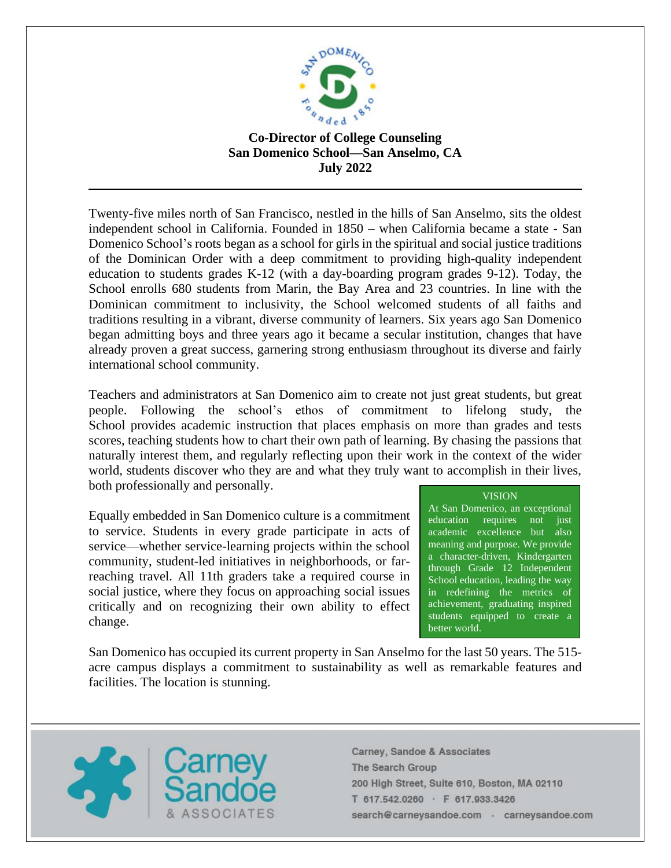

## **Co-Director of College Counseling San Domenico School—San Anselmo, CA July 2022**

Twenty-five miles north of San Francisco, nestled in the hills of San Anselmo, sits the oldest independent school in California. Founded in 1850 – when California became a state - San Domenico School's roots began as a school for girls in the spiritual and social justice traditions of the Dominican Order with a deep commitment to providing high-quality independent education to students grades K-12 (with a day-boarding program grades 9-12). Today, the School enrolls 680 students from Marin, the Bay Area and 23 countries. In line with the Dominican commitment to inclusivity, the School welcomed students of all faiths and traditions resulting in a vibrant, diverse community of learners. Six years ago San Domenico began admitting boys and three years ago it became a secular institution, changes that have already proven a great success, garnering strong enthusiasm throughout its diverse and fairly international school community.

Teachers and administrators at San Domenico aim to create not just great students, but great people. Following the school's ethos of commitment to lifelong study, the School provides academic instruction that places emphasis on more than grades and tests scores, teaching students how to chart their own path of learning. By chasing the passions that naturally interest them, and regularly reflecting upon their work in the context of the wider world, students discover who they are and what they truly want to accomplish in their lives, both professionally and personally.

Equally embedded in San Domenico culture is a commitment to service. Students in every grade participate in acts of service—whether service-learning projects within the school community, student-led initiatives in neighborhoods, or farreaching travel. All 11th graders take a required course in social justice, where they focus on approaching social issues critically and on recognizing their own ability to effect change.

## VISION

At San Domenico, an exceptional education requires not just academic excellence but also meaning and purpose. We provide a character-driven, Kindergarten through Grade 12 Independent School education, leading the way in redefining the metrics of achievement, graduating inspired students equipped to create a better world.

San Domenico has occupied its current property in San Anselmo for the last 50 years. The 515 acre campus displays a commitment to sustainability as well as remarkable features and facilities. The location is stunning.

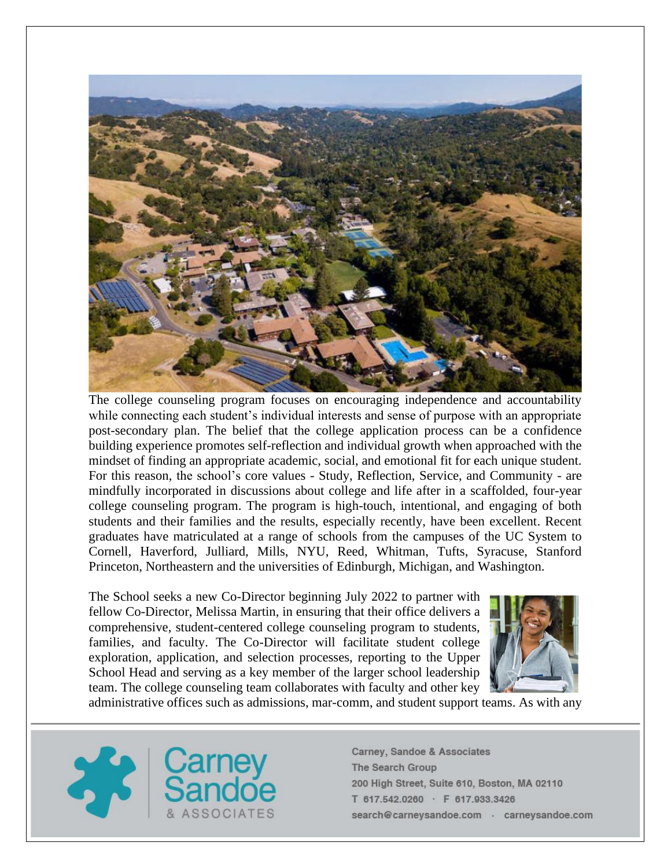

The college counseling program focuses on encouraging independence and accountability while connecting each student's individual interests and sense of purpose with an appropriate post-secondary plan. The belief that the college application process can be a confidence building experience promotes self-reflection and individual growth when approached with the mindset of finding an appropriate academic, social, and emotional fit for each unique student. For this reason, the school's core values - Study, Reflection, Service, and Community - are mindfully incorporated in discussions about college and life after in a scaffolded, four-year college counseling program. The program is high-touch, intentional, and engaging of both students and their families and the results, especially recently, have been excellent. Recent graduates have matriculated at a range of schools from the campuses of the UC System to Cornell, Haverford, Julliard, Mills, NYU, Reed, Whitman, Tufts, Syracuse, Stanford Princeton, Northeastern and the universities of Edinburgh, Michigan, and Washington.

The School seeks a new Co-Director beginning July 2022 to partner with fellow Co-Director, Melissa Martin, in ensuring that their office delivers a comprehensive, student-centered college counseling program to students, families, and faculty. The Co-Director will facilitate student college exploration, application, and selection processes, reporting to the Upper School Head and serving as a key member of the larger school leadership team. The college counseling team collaborates with faculty and other key



administrative offices such as admissions, mar-comm, and student support teams. As with any

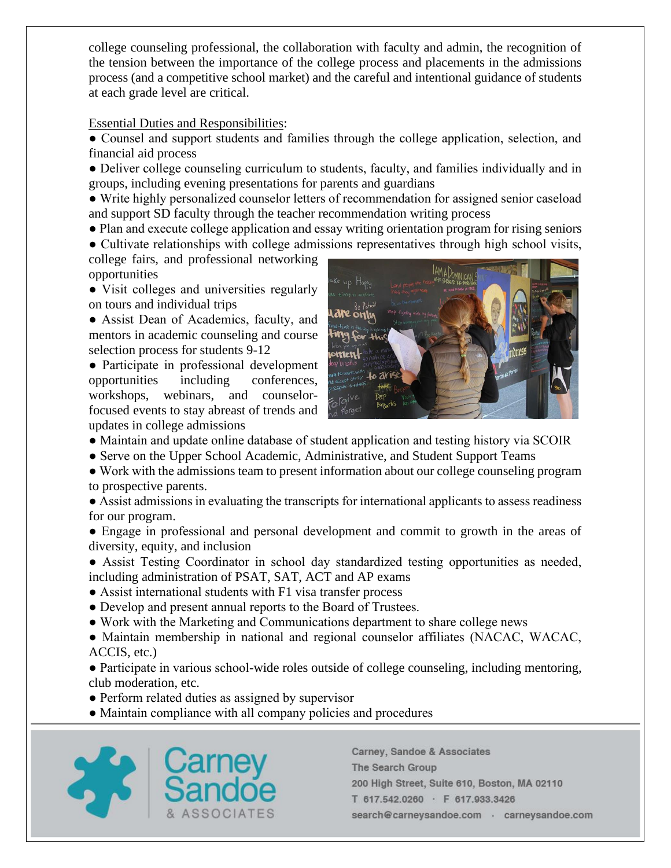college counseling professional, the collaboration with faculty and admin, the recognition of the tension between the importance of the college process and placements in the admissions process (and a competitive school market) and the careful and intentional guidance of students at each grade level are critical.

## Essential Duties and Responsibilities:

● Counsel and support students and families through the college application, selection, and financial aid process

● Deliver college counseling curriculum to students, faculty, and families individually and in groups, including evening presentations for parents and guardians

● Write highly personalized counselor letters of recommendation for assigned senior caseload and support SD faculty through the teacher recommendation writing process

• Plan and execute college application and essay writing orientation program for rising seniors

● Cultivate relationships with college admissions representatives through high school visits, college fairs, and professional networking opportunities

• Visit colleges and universities regularly on tours and individual trips

● Assist Dean of Academics, faculty, and mentors in academic counseling and course selection process for students 9-12

● Participate in professional development opportunities including conferences, workshops, webinars, and counselorfocused events to stay abreast of trends and updates in college admissions



- Maintain and update online database of student application and testing history via SCOIR
- Serve on the Upper School Academic, Administrative, and Student Support Teams

● Work with the admissions team to present information about our college counseling program to prospective parents.

● Assist admissions in evaluating the transcripts for international applicants to assess readiness for our program.

• Engage in professional and personal development and commit to growth in the areas of diversity, equity, and inclusion

● Assist Testing Coordinator in school day standardized testing opportunities as needed, including administration of PSAT, SAT, ACT and AP exams

- Assist international students with F1 visa transfer process
- Develop and present annual reports to the Board of Trustees.
- Work with the Marketing and Communications department to share college news

● Maintain membership in national and regional counselor affiliates (NACAC, WACAC, ACCIS, etc.)

● Participate in various school-wide roles outside of college counseling, including mentoring, club moderation, etc.

- Perform related duties as assigned by supervisor
- Maintain compliance with all company policies and procedures

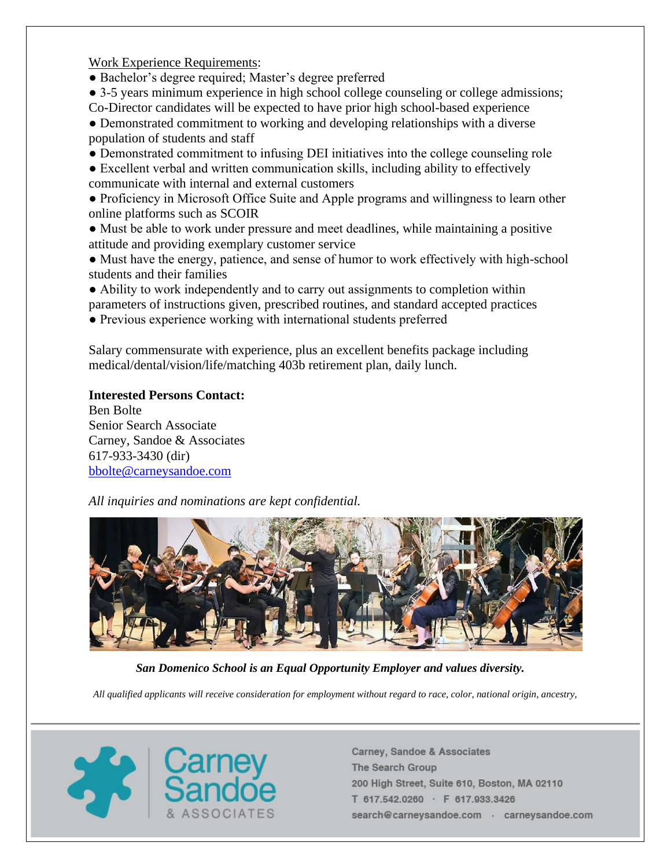Work Experience Requirements:

- Bachelor's degree required; Master's degree preferred
- 3-5 years minimum experience in high school college counseling or college admissions;
- Co-Director candidates will be expected to have prior high school-based experience ● Demonstrated commitment to working and developing relationships with a diverse population of students and staff
- Demonstrated commitment to infusing DEI initiatives into the college counseling role
- Excellent verbal and written communication skills, including ability to effectively communicate with internal and external customers
- Proficiency in Microsoft Office Suite and Apple programs and willingness to learn other online platforms such as SCOIR
- Must be able to work under pressure and meet deadlines, while maintaining a positive attitude and providing exemplary customer service
- Must have the energy, patience, and sense of humor to work effectively with high-school students and their families
- Ability to work independently and to carry out assignments to completion within
- parameters of instructions given, prescribed routines, and standard accepted practices ● Previous experience working with international students preferred

Salary commensurate with experience, plus an excellent benefits package including medical/dental/vision/life/matching 403b retirement plan, daily lunch.

## **Interested Persons Contact:**

Ben Bolte Senior Search Associate Carney, Sandoe & Associates 617-933-3430 (dir) [bbolte@carneysandoe.com](mailto:bbolte@carneysandoe.com)

*All inquiries and nominations are kept confidential.*



*San Domenico School is an Equal Opportunity Employer and values diversity.*

*All qualified applicants will receive consideration for employment without regard to race, color, national origin, ancestry,*